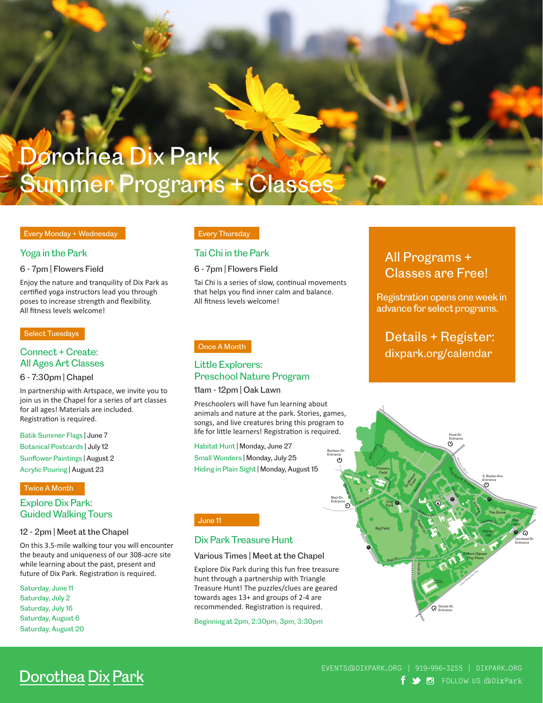# Dorothea Dix Park Summer Programs + Classes

#### Every Monday + Wednesday

#### Yoga in the Park

6 - 7pm | Flowers Field

Enjoy the nature and tranquility of Dix Park as certified yoga instructors lead you through poses to increase strength and flexibility. All fitness levels welcome!

#### Select Tuesdays

#### Connect + Create: All Ages Art Classes

#### 6 - 7:30pm | Chapel

In partnership with Artspace, we invite you to join us in the Chapel for a series of art classes for all ages! Materials are included. Registration is required.

Batik Summer Flags | June 7 Botanical Postcards | July 12 Sunflower Paintings | August 2 Acrylic Pouring | August 23

#### Twice A Month

### Explore Dix Park: Guided Walking Tours

#### 12 - 2pm | Meet at the Chapel

On this 3.5-mile walking tour you will encounter the beauty and uniqueness of our 308-acre site while learning about the past, present and future of Dix Park. Registration is required.

Saturday, June 11 Saturday, July 2 Saturday, July 16 Saturday, August 6 Saturday, August 20

#### Every Thursday

#### Tai Chi in the Park

6 - 7pm | Flowers Field

Tai Chi is a series of slow, continual movements that helps you find inner calm and balance. All fitness levels welcome!

#### Little Explorers: Preschool Nature Program

#### 11am - 12pm | Oak Lawn

Preschoolers will have fun learning about animals and nature at the park. Stories, games, songs, and live creatures bring this program to life for little learners! Registration is required.

Habitat Hunt | Monday, June 27 Small Wonders | Monday, July 25 Hiding in Plain Sight | Monday, August 15

#### June 11

#### Dix Park Treasure Hunt

#### Various Times | Meet at the Chapel

Explore Dix Park during this fun free treasure hunt through a partnership with Triangle Treasure Hunt! The puzzles/clues are geared towards ages 13+ and groups of 2-4 are recommended. Registration is required.

Beginning at 2pm, 2:30pm, 3pm, 3:30pm

### All Programs + Classes are Free!

Registration opens one week in advance for select programs.

Details + Register: once A Month dixpark.org/calendar dixpark.org/calendar



## **Dorothea Dix Park**